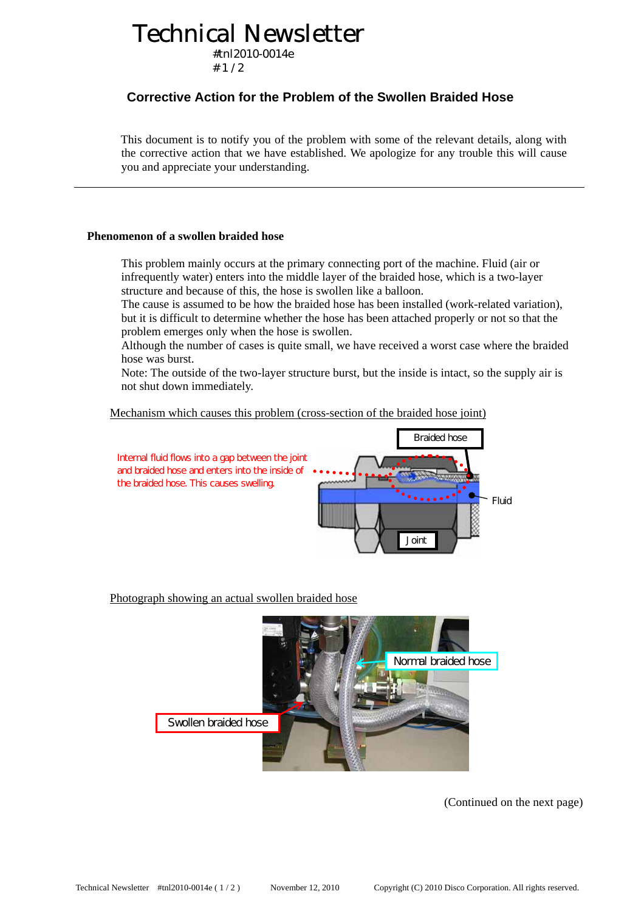## Technical Newsletter

#tnl2010-0014e  $# 1 / 2$ 

### **Corrective Action for the Problem of the Swollen Braided Hose**

This document is to notify you of the problem with some of the relevant details, along with the corrective action that we have established. We apologize for any trouble this will cause you and appreciate your understanding.

#### **Phenomenon of a swollen braided hose**

This problem mainly occurs at the primary connecting port of the machine. Fluid (air or infrequently water) enters into the middle layer of the braided hose, which is a two-layer structure and because of this, the hose is swollen like a balloon.

The cause is assumed to be how the braided hose has been installed (work-related variation), but it is difficult to determine whether the hose has been attached properly or not so that the problem emerges only when the hose is swollen.

Although the number of cases is quite small, we have received a worst case where the braided hose was burst.

Note: The outside of the two-layer structure burst, but the inside is intact, so the supply air is not shut down immediately.

Mechanism which causes this problem (cross-section of the braided hose joint)



Photograph showing an actual swollen braided hose



(Continued on the next page)